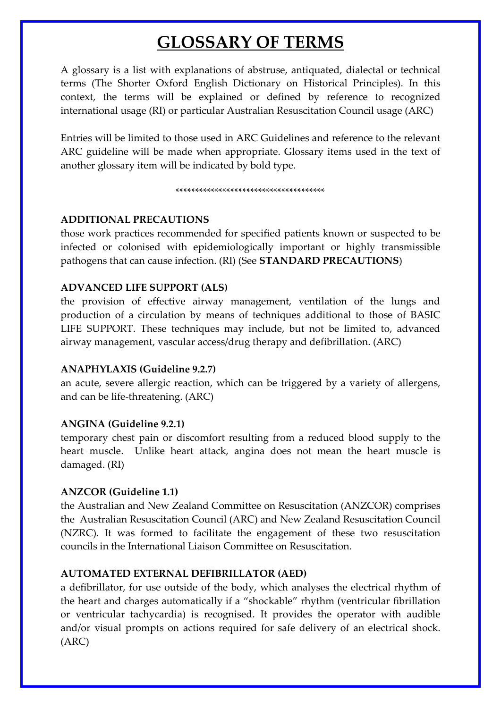# **GLOSSARY OF TERMS**

A glossary is a list with explanations of abstruse, antiquated, dialectal or technical terms (The Shorter Oxford English Dictionary on Historical Principles). In this context, the terms will be explained or defined by reference to recognized international usage (RI) or particular Australian Resuscitation Council usage (ARC)

Entries will be limited to those used in ARC Guidelines and reference to the relevant ARC guideline will be made when appropriate. Glossary items used in the text of another glossary item will be indicated by bold type.

#### \*\*\*\*\*\*\*\*\*\*\*\*\*\*\*\*\*\*\*\*\*\*\*\*\*\*\*\*\*\*\*\*\*\*\*\*\*\*

#### **ADDITIONAL PRECAUTIONS**

those work practices recommended for specified patients known or suspected to be infected or colonised with epidemiologically important or highly transmissible pathogens that can cause infection. (RI) (See **STANDARD PRECAUTIONS**)

#### **ADVANCED LIFE SUPPORT (ALS)**

the provision of effective airway management, ventilation of the lungs and production of a circulation by means of techniques additional to those of BASIC LIFE SUPPORT. These techniques may include, but not be limited to, advanced airway management, vascular access/drug therapy and defibrillation. (ARC)

#### **ANAPHYLAXIS (Guideline 9.2.7)**

an acute, severe allergic reaction, which can be triggered by a variety of allergens, and can be life-threatening. (ARC)

#### **ANGINA (Guideline 9.2.1)**

temporary chest pain or discomfort resulting from a reduced blood supply to the heart muscle. Unlike heart attack, angina does not mean the heart muscle is damaged. (RI)

#### **ANZCOR (Guideline 1.1)**

the Australian and New Zealand Committee on Resuscitation (ANZCOR) comprises the Australian Resuscitation Council (ARC) and New Zealand Resuscitation Council (NZRC). It was formed to facilitate the engagement of these two resuscitation councils in the International Liaison Committee on Resuscitation.

# **AUTOMATED EXTERNAL DEFIBRILLATOR (AED)**

a defibrillator, for use outside of the body, which analyses the electrical rhythm of the heart and charges automatically if a "shockable" rhythm (ventricular fibrillation or ventricular tachycardia) is recognised. It provides the operator with audible and/or visual prompts on actions required for safe delivery of an electrical shock. (ARC)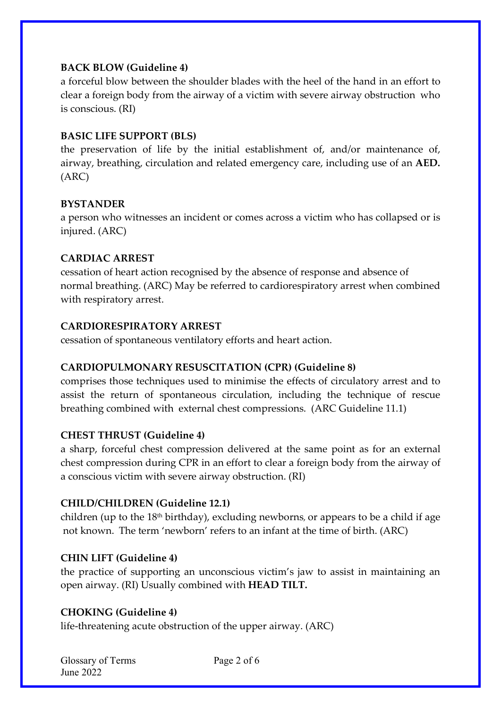# **BACK BLOW (Guideline 4)**

a forceful blow between the shoulder blades with the heel of the hand in an effort to clear a foreign body from the airway of a victim with severe airway obstruction who is conscious. (RI)

#### **BASIC LIFE SUPPORT (BLS)**

the preservation of life by the initial establishment of, and/or maintenance of, airway, breathing, circulation and related emergency care, including use of an **AED.** (ARC)

#### **BYSTANDER**

a person who witnesses an incident or comes across a victim who has collapsed or is injured. (ARC)

# **CARDIAC ARREST**

cessation of heart action recognised by the absence of response and absence of normal breathing. (ARC) May be referred to cardiorespiratory arrest when combined with respiratory arrest.

#### **CARDIORESPIRATORY ARREST**

cessation of spontaneous ventilatory efforts and heart action.

# **CARDIOPULMONARY RESUSCITATION (CPR) (Guideline 8)**

comprises those techniques used to minimise the effects of circulatory arrest and to assist the return of spontaneous circulation, including the technique of rescue breathing combined with external chest compressions. (ARC Guideline 11.1)

# **CHEST THRUST (Guideline 4)**

a sharp, forceful chest compression delivered at the same point as for an external chest compression during CPR in an effort to clear a foreign body from the airway of a conscious victim with severe airway obstruction. (RI)

# **CHILD/CHILDREN (Guideline 12.1)**

children (up to the  $18<sup>th</sup>$  birthday), excluding newborns, or appears to be a child if age not known. The term 'newborn' refers to an infant at the time of birth. (ARC)

# **CHIN LIFT (Guideline 4)**

the practice of supporting an unconscious victim's jaw to assist in maintaining an open airway. (RI) Usually combined with **HEAD TILT.**

# **CHOKING (Guideline 4)**

life-threatening acute obstruction of the upper airway. (ARC)

| Glossary of Terms |
|-------------------|
| June 2022         |

Page 2 of 6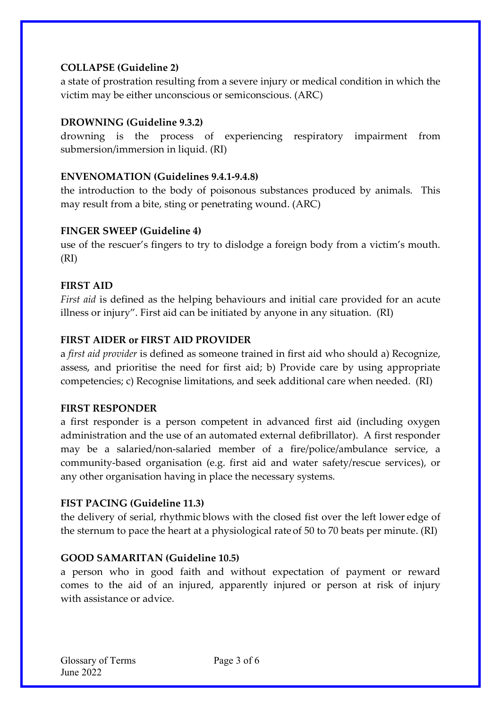# **COLLAPSE (Guideline 2)**

a state of prostration resulting from a severe injury or medical condition in which the victim may be either unconscious or semiconscious. (ARC)

# **DROWNING (Guideline 9.3.2)**

drowning is the process of experiencing respiratory impairment from submersion/immersion in liquid. (RI)

# **ENVENOMATION (Guidelines 9.4.1-9.4.8)**

the introduction to the body of poisonous substances produced by animals. This may result from a bite, sting or penetrating wound. (ARC)

# **FINGER SWEEP (Guideline 4)**

use of the rescuer's fingers to try to dislodge a foreign body from a victim's mouth. (RI)

# **FIRST AID**

*First aid* is defined as the helping behaviours and initial care provided for an acute illness or injury". First aid can be initiated by anyone in any situation. (RI)

# **FIRST AIDER or FIRST AID PROVIDER**

a *first aid provider* is defined as someone trained in first aid who should a) Recognize, assess, and prioritise the need for first aid; b) Provide care by using appropriate competencies; c) Recognise limitations, and seek additional care when needed. (RI)

# **FIRST RESPONDER**

a first responder is a person competent in advanced first aid (including oxygen administration and the use of an automated external defibrillator). A first responder may be a salaried/non-salaried member of a fire/police/ambulance service, a community-based organisation (e.g. first aid and water safety/rescue services), or any other organisation having in place the necessary systems.

# **FIST PACING (Guideline 11.3)**

the delivery of serial, rhythmic blows with the closed fist over the left lower edge of the sternum to pace the heart at a physiological rate of 50 to 70 beats per minute. (RI)

# **GOOD SAMARITAN (Guideline 10.5)**

a person who in good faith and without expectation of payment or reward comes to the aid of an injured, apparently injured or person at risk of injury with assistance or advice.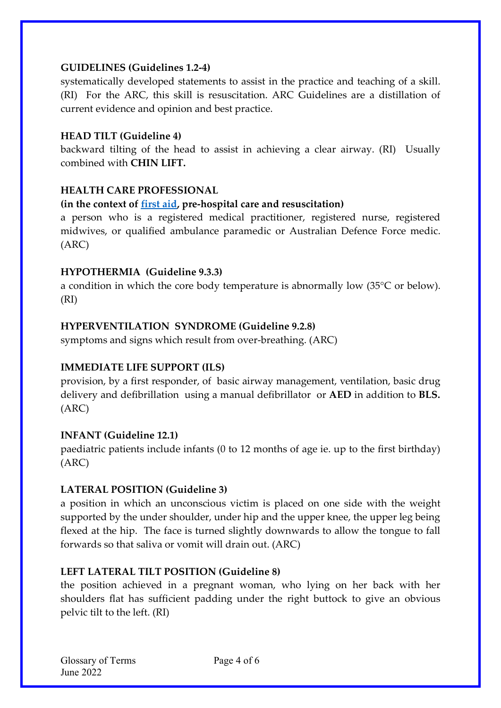# **GUIDELINES (Guidelines 1.2-4)**

systematically developed statements to assist in the practice and teaching of a skill. (RI) For the ARC, this skill is resuscitation. ARC Guidelines are a distillation of current evidence and opinion and best practice.

# **HEAD TILT (Guideline 4)**

backward tilting of the head to assist in achieving a clear airway. (RI) Usually combined with **CHIN LIFT.** 

# **HEALTH CARE PROFESSIONAL**

# **(in the context of [first aid,](https://resus.org.au/glossary/first-aid/) pre-hospital care and resuscitation)**

a person who is a registered medical practitioner, registered nurse, registered midwives, or qualified ambulance paramedic or Australian Defence Force medic. (ARC)

# **HYPOTHERMIA (Guideline 9.3.3)**

a condition in which the core body temperature is abnormally low (35°C or below). (RI)

# **HYPERVENTILATION SYNDROME (Guideline 9.2.8)**

symptoms and signs which result from over-breathing. (ARC)

# **IMMEDIATE LIFE SUPPORT (ILS)**

provision, by a first responder, of basic airway management, ventilation, basic drug delivery and defibrillation using a manual defibrillator or **AED** in addition to **BLS.** (ARC)

# **INFANT (Guideline 12.1)**

paediatric patients include infants (0 to 12 months of age ie. up to the first birthday) (ARC)

# **LATERAL POSITION (Guideline 3)**

a position in which an unconscious victim is placed on one side with the weight supported by the under shoulder, under hip and the upper knee, the upper leg being flexed at the hip. The face is turned slightly downwards to allow the tongue to fall forwards so that saliva or vomit will drain out. (ARC)

# **LEFT LATERAL TILT POSITION (Guideline 8)**

the position achieved in a pregnant woman, who lying on her back with her shoulders flat has sufficient padding under the right buttock to give an obvious pelvic tilt to the left. (RI)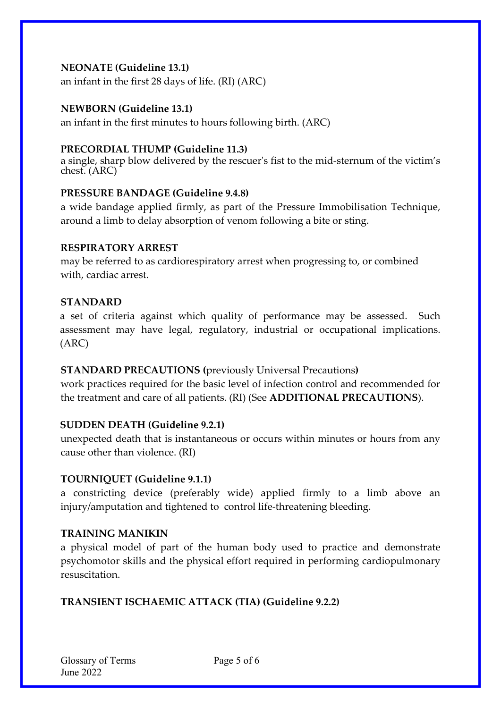#### **NEONATE (Guideline 13.1)**

an infant in the first 28 days of life. (RI) (ARC)

#### **NEWBORN (Guideline 13.1)**

an infant in the first minutes to hours following birth. (ARC)

#### **PRECORDIAL THUMP (Guideline 11.3)**

a single, sharp blow delivered by the rescuer's fist to the mid-sternum of the victim's chest. (ARC)

#### **PRESSURE BANDAGE (Guideline 9.4.8)**

a wide bandage applied firmly, as part of the Pressure Immobilisation Technique, around a limb to delay absorption of venom following a bite or sting.

#### **RESPIRATORY ARREST**

may be referred to as cardiorespiratory arrest when progressing to, or combined with, cardiac arrest.

#### **STANDARD**

a set of criteria against which quality of performance may be assessed. Such assessment may have legal, regulatory, industrial or occupational implications. (ARC)

# **STANDARD PRECAUTIONS (**previously Universal Precautions**)**

work practices required for the basic level of infection control and recommended for the treatment and care of all patients. (RI) (See **ADDITIONAL PRECAUTIONS**).

#### **SUDDEN DEATH (Guideline 9.2.1)**

unexpected death that is instantaneous or occurs within minutes or hours from any cause other than violence. (RI)

#### **TOURNIQUET (Guideline 9.1.1)**

a constricting device (preferably wide) applied firmly to a limb above an injury/amputation and tightened to control life-threatening bleeding.

# **TRAINING MANIKIN**

a physical model of part of the human body used to practice and demonstrate psychomotor skills and the physical effort required in performing cardiopulmonary resuscitation.

# **TRANSIENT ISCHAEMIC ATTACK (TIA) (Guideline 9.2.2)**